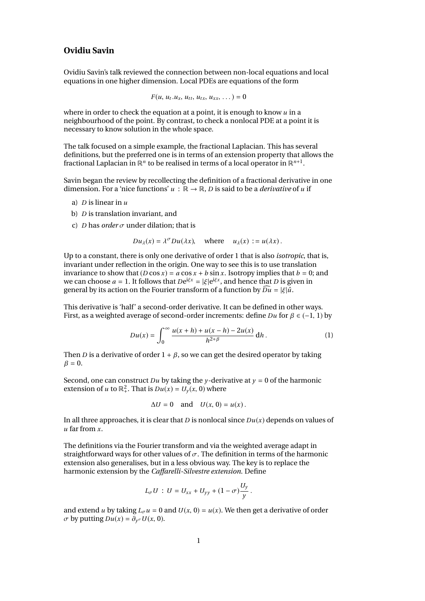## **Ovidiu Savin**

Ovidiu Savin's talk reviewed the connection between non-local equations and local equations in one higher dimension. Local PDEs are equations of the form

$$
F(u, u_t.u_x, u_{tt}, u_{tx}, u_{xx}, \dots) = 0
$$

where in order to check the equation at a point, it is enough to know *u* in a neighbourhood of the point. By contrast, to check a nonlocal PDE at a point it is necessary to know solution in the whole space.

The talk focused on a simple example, the fractional Laplacian. This has several definitions, but the preferred one is in terms of an extension property that allows the fractional Laplacian in  $\mathbb{R}^n$  to be realised in terms of a local operator in  $\mathbb{R}^{n+1}$ .

Savin began the review by recollecting the definition of a fractional derivative in one dimension. For a 'nice functions'  $u : \mathbb{R} \to \mathbb{R}$ , *D* is said to be a *derivative* of *u* if

- a) *D* is linear in *u*
- b) *D* is translation invariant, and
- c) *D* has *order*  $\sigma$  under dilation; that is

$$
Du_{\lambda}(x) = \lambda^{\sigma} Du(\lambda x), \quad \text{where} \quad u_{\lambda}(x) := u(\lambda x).
$$

Up to a constant, there is only one derivative of order 1 that is also *isotropic*, that is, invariant under reflection in the origin. One way to see this is to use translation invariance to show that  $(D \cos x) = a \cos x + b \sin x$ . Isotropy implies that  $b = 0$ ; and we can choose  $a = 1$ . It follows that  $De^{i\xi x} = |\xi|e^{i\xi x}$ , and hence that *D* is given in general by its action on the Fourier transform of a function by  $\widehat{Du} = |\xi|\hat{u}$ general by its action on the Fourier transform of a function by  $\widehat{Du} = |\xi| \hat{u}$ .

This derivative is 'half' a second-order derivative. It can be defined in other ways. First, as a weighted average of second-order increments: define *Du* for β <sup>∈</sup> (−1, <sup>1</sup>) by

$$
Du(x) = \int_0^\infty \frac{u(x+h) + u(x-h) - 2u(x)}{h^{2+\beta}} \, \mathrm{d}h \,. \tag{1}
$$

Then *D* is a derivative of order  $1 + \beta$ , so we can get the desired operator by taking  $\beta = 0$ .

Second, one can construct *Du* by taking the *y*-derivative at  $y = 0$  of the harmonic extension of *u* to  $\mathbb{R}^2_+$ . That is  $Du(x) = U_y(x, 0)$  where

$$
\Delta U = 0 \quad \text{and} \quad U(x, 0) = u(x) \, .
$$

In all three approaches, it is clear that *D* is nonlocal since *Du*(*x*) depends on values of *u* far from *x*.

The definitions via the Fourier transform and via the weighted average adapt in straightforward ways for other values of  $\sigma$ . The definition in terms of the harmonic extension also generalises, but in a less obvious way. The key is to replace the harmonic extension by the *Caffarelli-Silvestre extension*. Define

$$
L_{\sigma}U: U = U_{xx} + U_{yy} + (1 - \sigma)\frac{U_y}{y}.
$$

and extend *u* by taking  $L_{\sigma} u = 0$  and  $U(x, 0) = u(x)$ . We then get a derivative of order  $\sigma$  by putting  $Du(x) = \partial_{y^{\sigma}} U(x, 0)$ .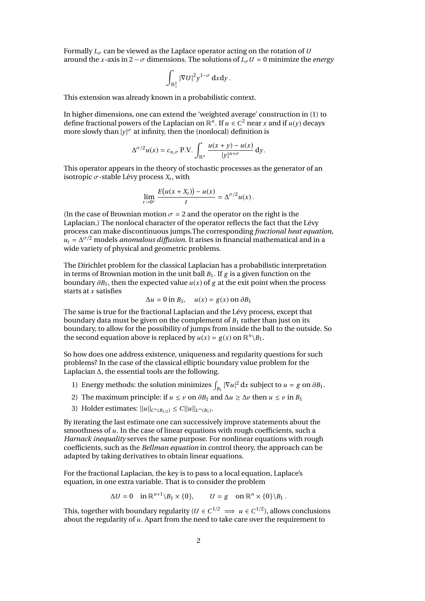Formally  $L_{\sigma}$  can be viewed as the Laplace operator acting on the rotation of *U* around the *x*-axis in 2 –  $\sigma$  dimensions. The solutions of  $\bar{L}_{\sigma}U = 0$  minimize the *energy* 

$$
\int_{\mathbb{R}^2_+} |\nabla U|^2 y^{1-\sigma} \, \mathrm{d}x \mathrm{d}y \, .
$$

This extension was already known in a probabilistic context.

l.

In higher dimensions, one can extend the 'weighted average' construction in (1) to define fractional powers of the Laplacian on  $\mathbb{R}^n$ . If  $u \in C^2$  near *x* and if  $u(y)$  decays more slowly than  $|y|^{\sigma}$  at infinity, then the (nonlocal) definition is

$$
\Delta^{\sigma/2}u(x)=c_{n,\sigma} \text{ P.V.}\int_{\mathbb{R}^n}\frac{u(x+y)-u(x)}{|y|^{n+\sigma}}\,dy.
$$

This operator appears in the theory of stochastic processes as the generator of an isotropic  $\sigma$ -stable Lévy process  $X_t$ , with

$$
\lim_{t\to 0^+}\frac{E(u(x+X_t))-u(x)}{t}=\Delta^{\sigma/2}u(x).
$$

(In the case of Brownian motion  $\sigma = 2$  and the operator on the right is the Laplacian.) The nonlocal character of the operator reflects the fact that the Lévy process can make discontinuous jumps.The corresponding *fractional heat equation*,  $u_t = \Delta^{\sigma/2}$  models *anomalous diffusion*. It arises in financial mathematical and in a wide variety of physical and geometric problems.

The Dirichlet problem for the classical Laplacian has a probabilistic interpretation in terms of Brownian motion in the unit ball  $B_1$ . If  $g$  is a given function on the boundary ∂*B*1, then the expected value *<sup>u</sup>*(*x*) of *<sup>g</sup>* at the exit point when the process starts at *x* satisfies

$$
\Delta u = 0 \text{ in } B_1, \quad u(x) = g(x) \text{ on } \partial B_1
$$

The same is true for the fractional Laplacian and the Lévy process, except that boundary data must be given on the complement of  $B_1$  rather than just on its boundary, to allow for the possibility of jumps from inside the ball to the outside. So the second equation above is replaced by  $u(x) = g(x)$  on  $\mathbb{R}^n \setminus B_1$ .

So how does one address existence, uniqueness and regularity questions for such problems? In the case of the classical elliptic boundary value problem for the Laplacian ∆, the essential tools are the following.

- 1) Energy methods: the solution minimizes  $\int_{B_1} |\nabla u|^2 dx$  subject to  $u = g$  on  $\partial B_1$ .
- 2) The maximum principle: if  $u \le v$  on  $\partial B_1$  and  $\Delta u \ge \Delta v$  then  $u \le v$  in  $B_1$
- 3) Holder estimates:  $||u||_{C^{\alpha}(B_{1/2})} \leq C||u||_{L^{\infty}(B_1)}$ .

By iterating the last estimate one can successively improve statements about the smoothness of *u*. In the case of linear equations with rough coefficients, such a *Harnack inequality* serves the same purpose. For nonlinear equations with rough coefficients, such as the *Bellman equation* in control theory, the approach can be adapted by taking derivatives to obtain linear equations.

For the fractional Laplacian, the key is to pass to a local equation, Laplace's equation, in one extra variable. That is to consider the problem

$$
\Delta U = 0 \quad \text{in } \mathbb{R}^{n+1} \backslash B_1 \times \{0\}, \qquad U = g \quad \text{on } \mathbb{R}^n \times \{0\} \backslash B_1 \,.
$$

This, together with boundary regularity ( $U \in C^{1/2} \implies u \in C^{1/2}$ ), allows conclusions about the regularity of *u*. Apart from the need to take care over the requirement to